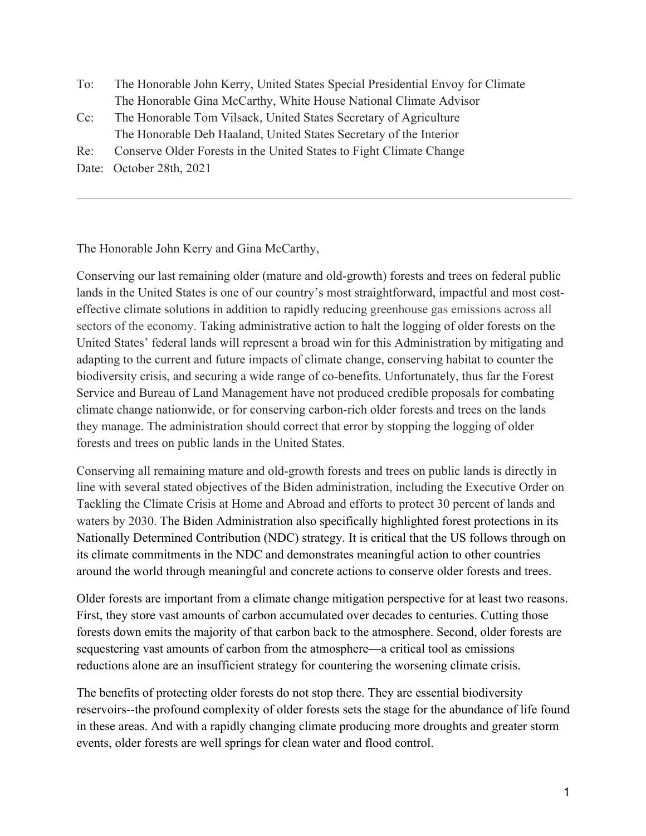- To: The Honorable John Kerry, United States Special Presidential Envoy for Climate The Honorable Gina McCarthy, White House National Climate Advisor
- Cc: The Honorable Tom Vilsack, United States Secretary of Agriculture The Honorable Deb Haaland, United States Secretary of the Interior
- Re: Conserve Older Forests in the United States to Fight Climate Change
- Date: October 28th, 2021

The Honorable John Kerry and Gina McCarthy,

Conserving our last remaining older (mature and old-growth) forests and trees on federal public lands in the United States is one of our country's most straightforward, impactful and most costeffective climate solutions in addition to rapidly reducing greenhouse gas emissions across all sectors of the economy. Taking administrative action to halt the logging of older forests on the United States' federal lands will represent a broad win for this Administration by mitigating and adapting to the current and future impacts of climate change, conserving habitat to counter the biodiversity crisis, and securing a wide range of co-benefits. Unfortunately, thus far the Forest Service and Bureau of Land Management have not produced credible proposals for combating climate change nationwide, or for conserving carbon-rich older forests and trees on the lands they manage. The administration should correct that error by stopping the logging of older forests and trees on public lands in the United States.

Conserving all remaining mature and old-growth forests and trees on public lands is directly in line with several stated objectives of the Biden administration, including the Executive Order on Tackling the Climate Crisis at Home and Abroad and efforts to protect 30 percent of lands and waters by 2030. The Biden Administration also specifically highlighted forest protections in its Nationally Determined Contribution (NDC) strategy. It is critical that the US follows through on its climate commitments in the NDC and demonstrates meaningful action to other countries around the world through meaningful and concrete actions to conserve older forests and trees.

Older forests are important from a climate change mitigation perspective for at least two reasons. First, they store vast amounts of carbon accumulated over decades to centuries. Cutting those forests down emits the majority of that carbon back to the atmosphere. Second, older forests are sequestering vast amounts of carbon from the atmosphere—a critical tool as emissions reductions alone are an insufficient strategy for countering the worsening climate crisis.

The benefits of protecting older forests do not stop there. They are essential biodiversity reservoirs--the profound complexity of older forests sets the stage for the abundance of life found in these areas. And with a rapidly changing climate producing more droughts and greater storm events, older forests are well springs for clean water and flood control.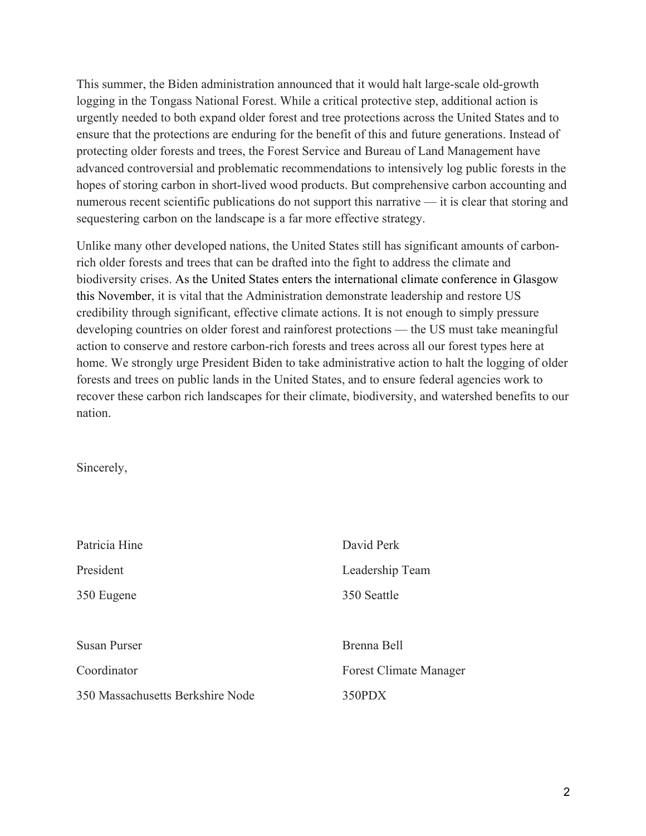This summer, the Biden administration announced that it would halt large-scale old-growth logging in the Tongass National Forest. While a critical protective step, additional action is urgently needed to both expand older forest and tree protections across the United States and to ensure that the protections are enduring for the benefit of this and future generations. Instead of protecting older forests and trees, the Forest Service and Bureau of Land Management have advanced controversial and problematic recommendations to intensively log public forests in the hopes of storing carbon in short-lived wood products. But comprehensive carbon accounting and numerous recent scientific publications do not support this narrative — it is clear that storing and sequestering carbon on the landscape is a far more effective strategy.

Unlike many other developed nations, the United States still has significant amounts of carbonrich older forests and trees that can be drafted into the fight to address the climate and biodiversity crises. As the United States enters the international climate conference in Glasgow this November, it is vital that the Administration demonstrate leadership and restore US credibility through significant, effective climate actions. It is not enough to simply pressure developing countries on older forest and rainforest protections — the US must take meaningful action to conserve and restore carbon-rich forests and trees across all our forest types here at home. We strongly urge President Biden to take administrative action to halt the logging of older forests and trees on public lands in the United States, and to ensure federal agencies work to recover these carbon rich landscapes for their climate, biodiversity, and watershed benefits to our nation.

Sincerely,

| Patricia Hine                    | David Perk                    |
|----------------------------------|-------------------------------|
| President                        | Leadership Team               |
| 350 Eugene                       | 350 Seattle                   |
|                                  |                               |
| <b>Susan Purser</b>              | Brenna Bell                   |
| Coordinator                      | <b>Forest Climate Manager</b> |
| 350 Massachusetts Berkshire Node | 350PDX                        |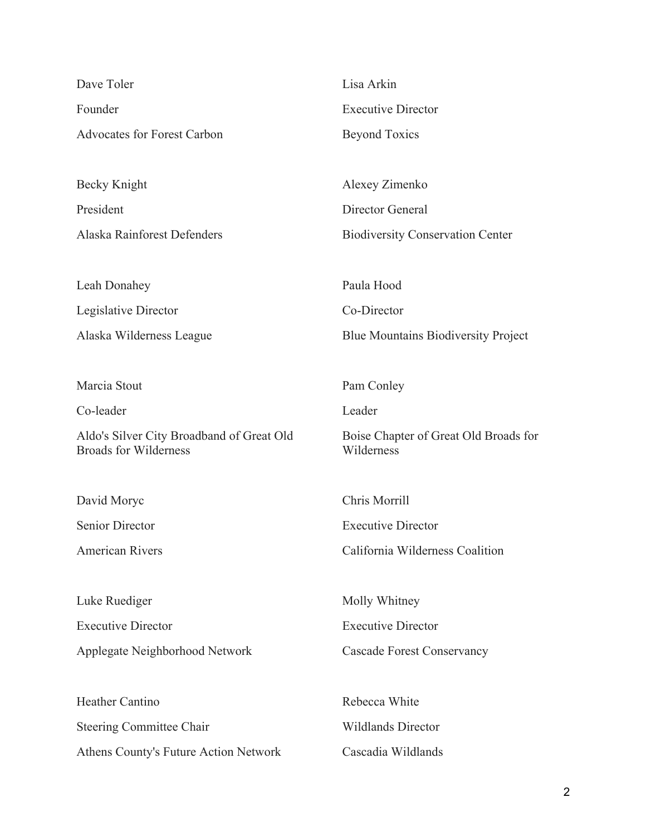| Dave Toler                                                                | Lisa Arkin                                          |
|---------------------------------------------------------------------------|-----------------------------------------------------|
| Founder                                                                   | <b>Executive Director</b>                           |
| <b>Advocates for Forest Carbon</b>                                        | <b>Beyond Toxics</b>                                |
|                                                                           |                                                     |
| Becky Knight                                                              | Alexey Zimenko                                      |
| President                                                                 | Director General                                    |
| Alaska Rainforest Defenders                                               | <b>Biodiversity Conservation Center</b>             |
|                                                                           |                                                     |
| Leah Donahey                                                              | Paula Hood                                          |
| Legislative Director                                                      | Co-Director                                         |
| Alaska Wilderness League                                                  | <b>Blue Mountains Biodiversity Project</b>          |
|                                                                           |                                                     |
| Marcia Stout                                                              | Pam Conley                                          |
| Co-leader                                                                 | Leader                                              |
| Aldo's Silver City Broadband of Great Old<br><b>Broads for Wilderness</b> | Boise Chapter of Great Old Broads for<br>Wilderness |
|                                                                           |                                                     |
| David Moryc                                                               | Chris Morrill                                       |
| <b>Senior Director</b>                                                    | <b>Executive Director</b>                           |
| <b>American Rivers</b>                                                    | California Wilderness Coalition                     |
|                                                                           |                                                     |
| Luke Ruediger                                                             | Molly Whitney                                       |
| <b>Executive Director</b>                                                 | <b>Executive Director</b>                           |
| Applegate Neighborhood Network                                            | <b>Cascade Forest Conservancy</b>                   |
|                                                                           |                                                     |
| Heather Cantino                                                           | Rebecca White                                       |
| <b>Steering Committee Chair</b>                                           | <b>Wildlands Director</b>                           |
| Athens County's Future Action Network                                     | Cascadia Wildlands                                  |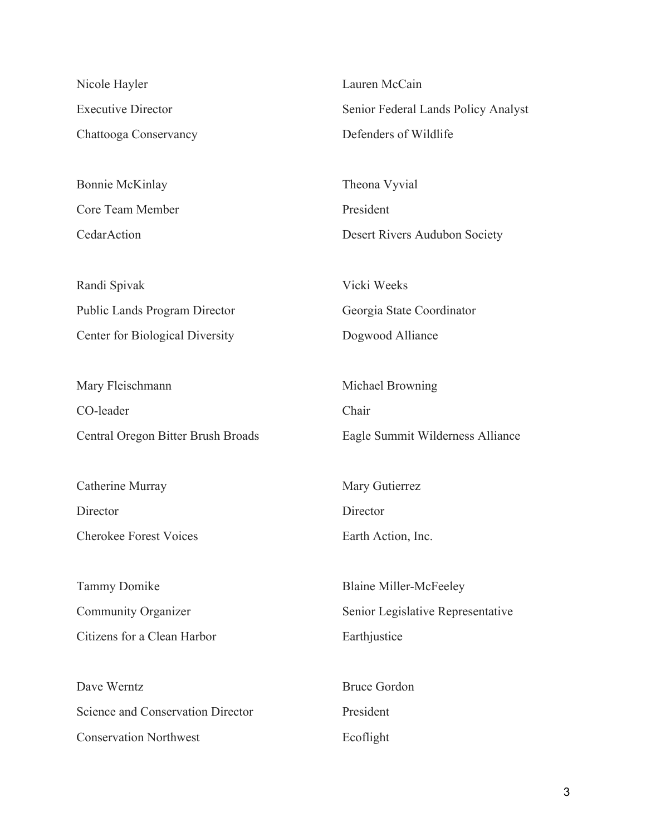Nicole Hayler Executive Director Chattooga Conservancy

Bonnie McKinlay Core Team Member CedarAction

Randi Spivak Public Lands Program Director Center for Biological Diversity

Mary Fleischmann CO-leader Central Oregon Bitter Brush Broads

Catherine Murray **Director** Cherokee Forest Voices

Tammy Domike Community Organizer Citizens for a Clean Harbor

Dave Werntz Science and Conservation Director Conservation Northwest

Lauren McCain Senior Federal Lands Policy Analyst Defenders of Wildlife

Theona Vyvial President Desert Rivers Audubon Society

Vicki Weeks Georgia State Coordinator Dogwood Alliance

Michael Browning Chair Eagle Summit Wilderness Alliance

Mary Gutierrez **Director** Earth Action, Inc.

Blaine Miller-McFeeley Senior Legislative Representative Earthjustice

Bruce Gordon President Ecoflight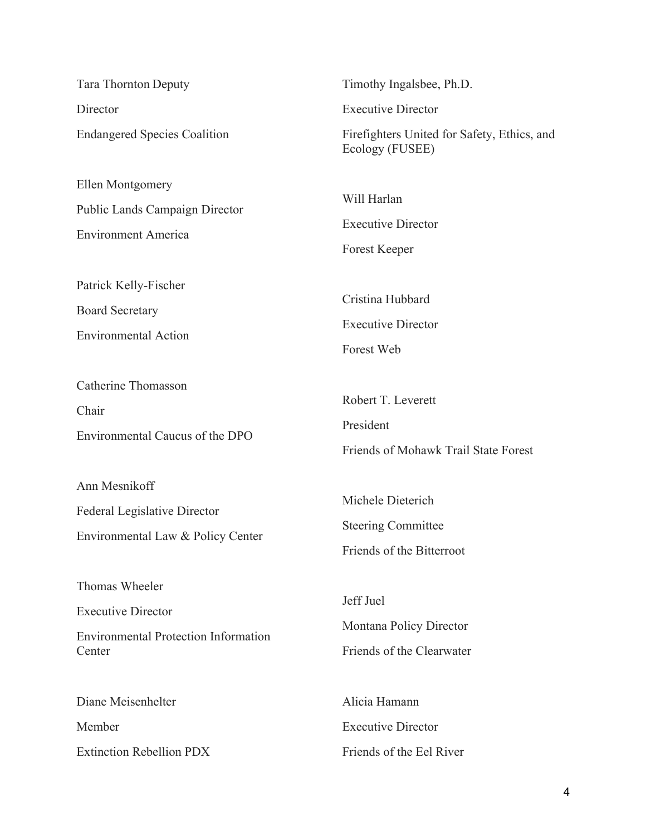| <b>Tara Thornton Deputy</b>                                                                          | Timothy Ingalsbee, Ph.D.                                                    |
|------------------------------------------------------------------------------------------------------|-----------------------------------------------------------------------------|
| Director                                                                                             | <b>Executive Director</b>                                                   |
| <b>Endangered Species Coalition</b>                                                                  | Firefighters United for Safety, Ethics, and<br>Ecology (FUSEE)              |
| Ellen Montgomery<br>Public Lands Campaign Director<br><b>Environment America</b>                     | Will Harlan<br><b>Executive Director</b><br><b>Forest Keeper</b>            |
| Patrick Kelly-Fischer                                                                                | Cristina Hubbard                                                            |
| <b>Board Secretary</b><br><b>Environmental Action</b>                                                | <b>Executive Director</b><br>Forest Web                                     |
| <b>Catherine Thomasson</b><br>Chair<br>Environmental Caucus of the DPO                               | Robert T. Leverett<br>President<br>Friends of Mohawk Trail State Forest     |
| Ann Mesnikoff<br><b>Federal Legislative Director</b><br>Environmental Law & Policy Center            | Michele Dieterich<br><b>Steering Committee</b><br>Friends of the Bitterroot |
| Thomas Wheeler<br><b>Executive Director</b><br><b>Environmental Protection Information</b><br>Center | Jeff Juel<br>Montana Policy Director<br>Friends of the Clearwater           |
| Diane Meisenhelter                                                                                   | Alicia Hamann                                                               |
| Member                                                                                               | <b>Executive Director</b>                                                   |
| <b>Extinction Rebellion PDX</b>                                                                      | Friends of the Eel River                                                    |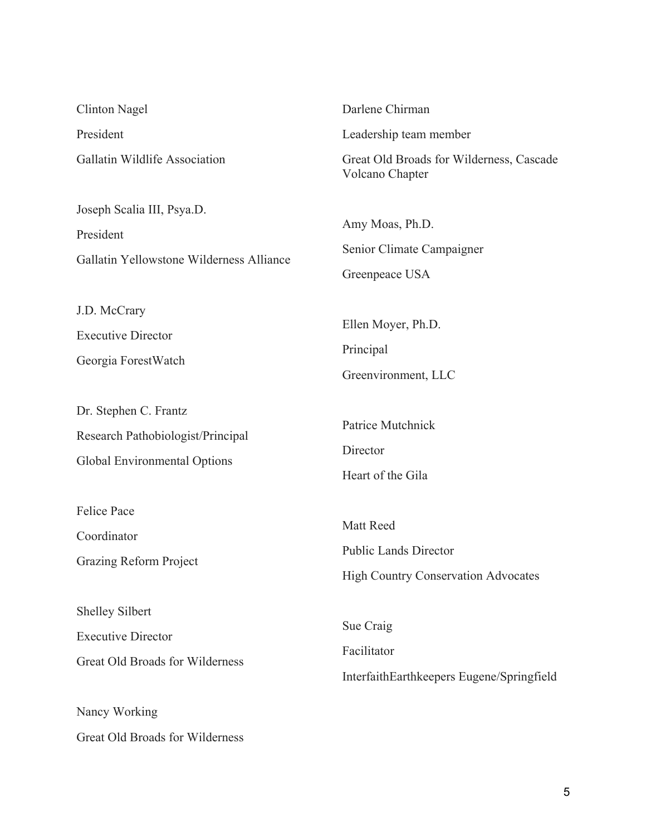| <b>Clinton Nagel</b>                                                                                           | Darlene Chirman                                                                         |
|----------------------------------------------------------------------------------------------------------------|-----------------------------------------------------------------------------------------|
| President                                                                                                      | Leadership team member                                                                  |
| Gallatin Wildlife Association                                                                                  | Great Old Broads for Wilderness, Cascade<br>Volcano Chapter                             |
| Joseph Scalia III, Psya.D.<br>President<br>Gallatin Yellowstone Wilderness Alliance                            | Amy Moas, Ph.D.<br>Senior Climate Campaigner                                            |
|                                                                                                                | Greenpeace USA                                                                          |
| J.D. McCrary<br><b>Executive Director</b><br>Georgia ForestWatch                                               | Ellen Moyer, Ph.D.<br>Principal<br>Greenvironment, LLC                                  |
| Dr. Stephen C. Frantz<br>Research Pathobiologist/Principal<br>Global Environmental Options                     | Patrice Mutchnick<br>Director<br>Heart of the Gila                                      |
| <b>Felice Pace</b><br>Coordinator<br><b>Grazing Reform Project</b>                                             | Matt Reed<br><b>Public Lands Director</b><br><b>High Country Conservation Advocates</b> |
| <b>Shelley Silbert</b><br><b>Executive Director</b><br><b>Great Old Broads for Wilderness</b><br>Nancy Working | Sue Craig<br>Facilitator<br>InterfaithEarthkeepers Eugene/Springfield                   |
|                                                                                                                |                                                                                         |

Great Old Broads for Wilderness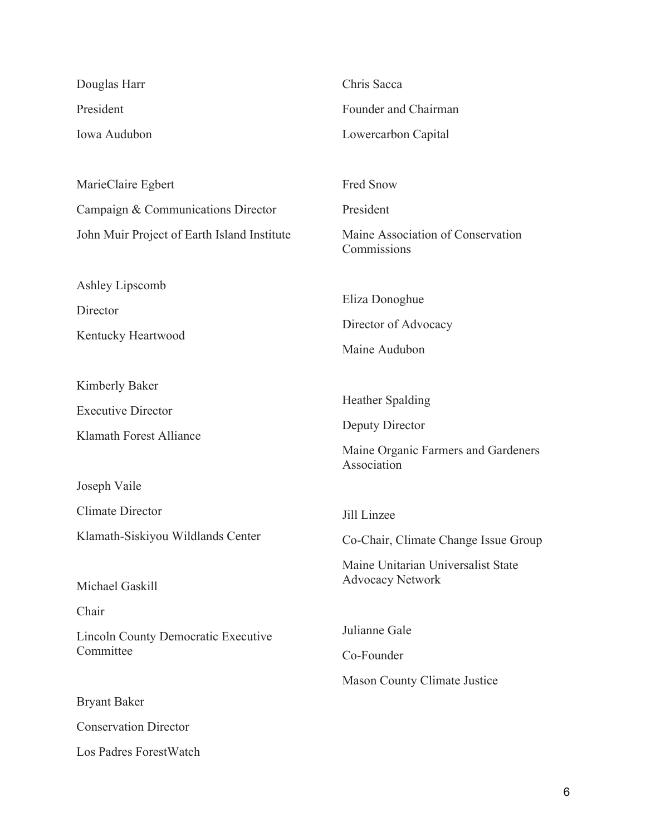| Douglas Harr                                            | Chris Sacca                                                   |
|---------------------------------------------------------|---------------------------------------------------------------|
| President                                               | Founder and Chairman                                          |
| Iowa Audubon                                            | Lowercarbon Capital                                           |
|                                                         |                                                               |
| MarieClaire Egbert                                      | Fred Snow                                                     |
| Campaign & Communications Director                      | President                                                     |
| John Muir Project of Earth Island Institute             | Maine Association of Conservation<br>Commissions              |
| Ashley Lipscomb                                         |                                                               |
| Director                                                | Eliza Donoghue                                                |
| Kentucky Heartwood                                      | Director of Advocacy                                          |
|                                                         | Maine Audubon                                                 |
| Kimberly Baker                                          |                                                               |
| <b>Executive Director</b>                               | <b>Heather Spalding</b>                                       |
| <b>Klamath Forest Alliance</b>                          | Deputy Director                                               |
|                                                         | Maine Organic Farmers and Gardeners<br>Association            |
| Joseph Vaile                                            |                                                               |
| <b>Climate Director</b>                                 | Jill Linzee                                                   |
| Klamath-Siskiyou Wildlands Center                       | Co-Chair, Climate Change Issue Group                          |
| Michael Gaskill                                         | Maine Unitarian Universalist State<br><b>Advocacy Network</b> |
| Chair                                                   |                                                               |
| <b>Lincoln County Democratic Executive</b><br>Committee | Julianne Gale                                                 |
|                                                         | Co-Founder                                                    |
|                                                         | <b>Mason County Climate Justice</b>                           |
| <b>Bryant Baker</b>                                     |                                                               |
| <b>Conservation Director</b>                            |                                                               |
| Los Padres ForestWatch                                  |                                                               |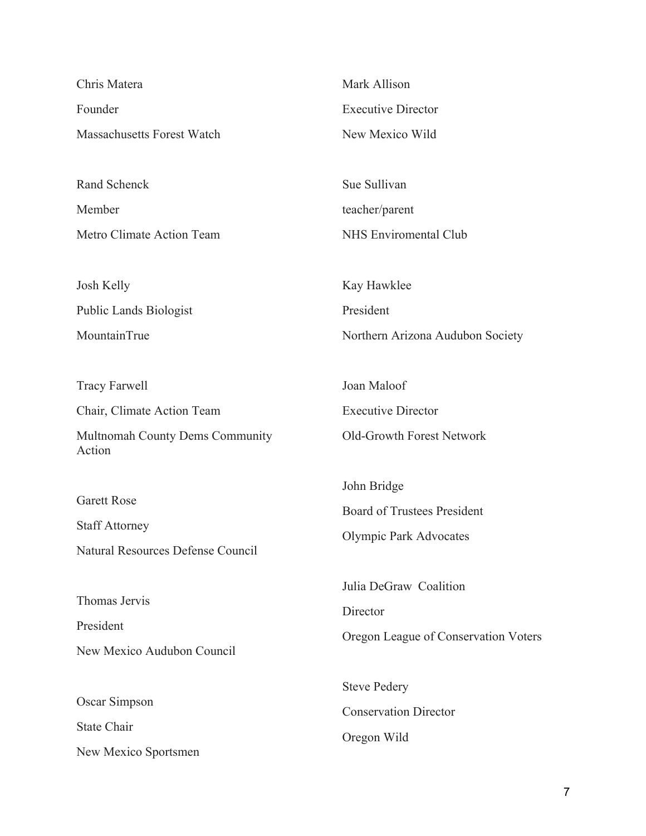| Chris Matera                      | Mark Allison                                     |
|-----------------------------------|--------------------------------------------------|
| Founder                           | <b>Executive Director</b>                        |
| <b>Massachusetts Forest Watch</b> | New Mexico Wild                                  |
|                                   |                                                  |
| Rand Schenck                      | Sue Sullivan                                     |
| Member                            | teacher/parent                                   |
| Metro Climate Action Team         | <b>NHS Enviromental Club</b>                     |
|                                   |                                                  |
| Josh Kelly                        | Kay Hawklee                                      |
| <b>Public Lands Biologist</b>     | President                                        |
| MountainTrue                      | Northern Arizona Audubon Society                 |
|                                   |                                                  |
| <b>Tracy Farwell</b>              | Joan Maloof                                      |
| Chair, Climate Action Team        | <b>Executive Director</b>                        |
| Multnomah County Dems Community   | Old-Growth Forest Network                        |
| Action                            |                                                  |
|                                   | John Bridge                                      |
| <b>Garett Rose</b>                | <b>Board of Trustees President</b>               |
| <b>Staff Attorney</b>             | <b>Olympic Park Advocates</b>                    |
| Natural Resources Defense Council |                                                  |
|                                   | Julia DeGraw Coalition                           |
| Thomas Jervis                     | Director<br>Oregon League of Conservation Voters |
| President                         |                                                  |
| New Mexico Audubon Council        |                                                  |

Oscar Simpson

New Mexico Sportsmen

State Chair

Steve Pedery Conservation Director Oregon Wild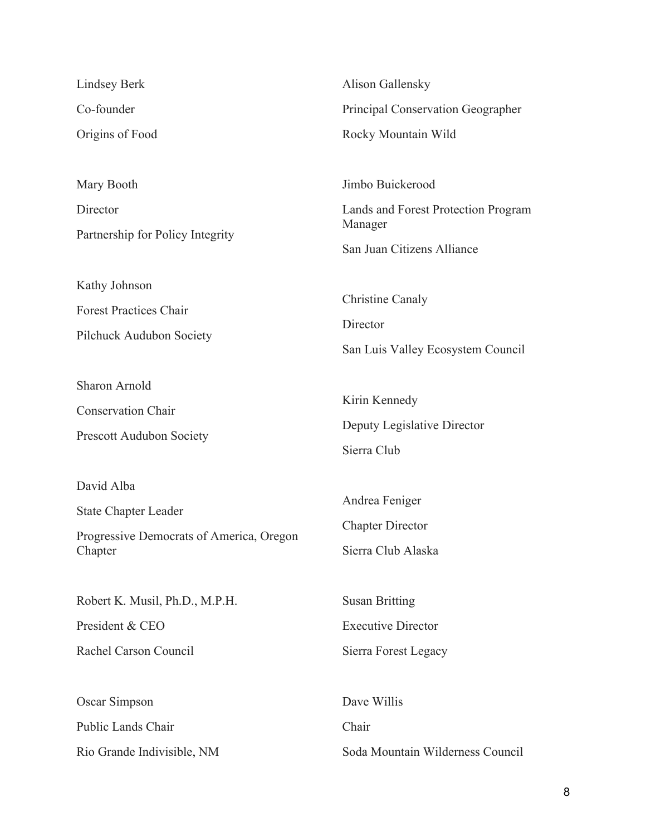Lindsey Berk Co-founder Origins of Food

Mary Booth **Director** Partnership for Policy Integrity

Kathy Johnson Forest Practices Chair Pilchuck Audubon Society

Sharon Arnold

Conservation Chair

Prescott Audubon Society

David Alba

State Chapter Leader

Progressive Democrats of America, Oregon Chapter

Robert K. Musil, Ph.D., M.P.H.

President & CEO

Rachel Carson Council

Oscar Simpson Public Lands Chair Rio Grande Indivisible, NM Alison Gallensky Principal Conservation Geographer Rocky Mountain Wild

Jimbo Buickerood Lands and Forest Protection Program Manager

San Juan Citizens Alliance

Christine Canaly

**Director** 

San Luis Valley Ecosystem Council

Kirin Kennedy Deputy Legislative Director Sierra Club

Andrea Feniger Chapter Director Sierra Club Alaska

Susan Britting Executive Director Sierra Forest Legacy

Dave Willis Chair Soda Mountain Wilderness Council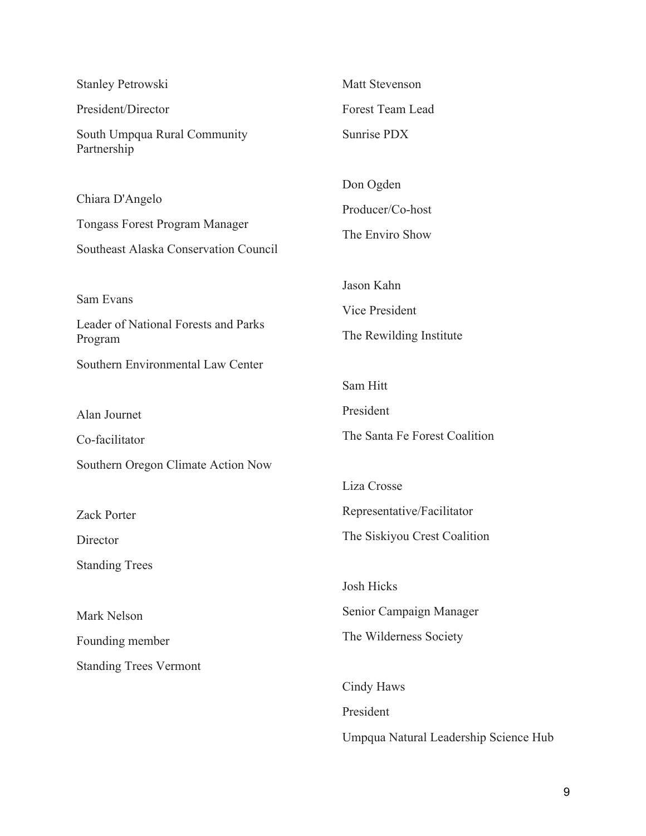| <b>Stanley Petrowski</b>                                                                                 | Matt Stevenson                                          |
|----------------------------------------------------------------------------------------------------------|---------------------------------------------------------|
| President/Director                                                                                       | Forest Team Lead                                        |
| South Umpqua Rural Community<br>Partnership                                                              | Sunrise PDX                                             |
| Chiara D'Angelo<br><b>Tongass Forest Program Manager</b><br><b>Southeast Alaska Conservation Council</b> | Don Ogden<br>Producer/Co-host<br>The Enviro Show        |
| Sam Evans<br>Leader of National Forests and Parks<br>Program                                             | Jason Kahn<br>Vice President<br>The Rewilding Institute |
| Southern Environmental Law Center                                                                        |                                                         |
|                                                                                                          | Sam Hitt                                                |
| Alan Journet                                                                                             | President                                               |
| Co-facilitator                                                                                           | The Santa Fe Forest Coalition                           |
| Southern Oregon Climate Action Now                                                                       |                                                         |
|                                                                                                          | Liza Crosse                                             |
| <b>Zack Porter</b>                                                                                       | Representative/Facilitator                              |
| Director                                                                                                 | The Siskiyou Crest Coalition                            |
| <b>Standing Trees</b>                                                                                    |                                                         |
|                                                                                                          | <b>Josh Hicks</b>                                       |
| Mark Nelson                                                                                              | Senior Campaign Manager                                 |
| Founding member                                                                                          | The Wilderness Society                                  |
| <b>Standing Trees Vermont</b>                                                                            |                                                         |
|                                                                                                          | Cindy Haws                                              |
|                                                                                                          | President                                               |
|                                                                                                          | Umpqua Natural Leadership Science Hub                   |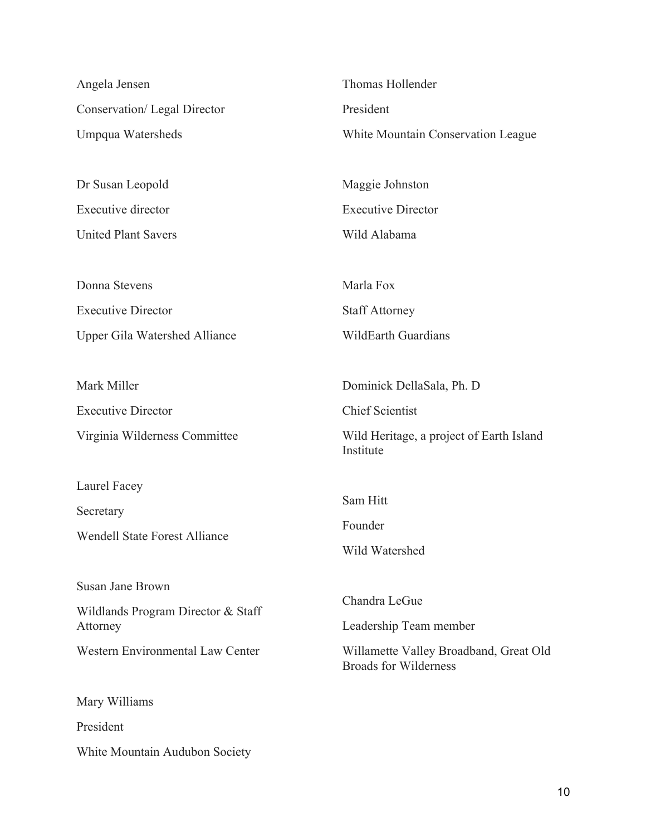| Angela Jensen                           | Thomas Hollender                                                       |
|-----------------------------------------|------------------------------------------------------------------------|
| Conservation/ Legal Director            | President                                                              |
| Umpqua Watersheds                       | White Mountain Conservation League                                     |
|                                         |                                                                        |
| Dr Susan Leopold                        | Maggie Johnston                                                        |
| <b>Executive director</b>               | <b>Executive Director</b>                                              |
| <b>United Plant Savers</b>              | Wild Alabama                                                           |
|                                         |                                                                        |
| Donna Stevens                           | Marla Fox                                                              |
| <b>Executive Director</b>               | <b>Staff Attorney</b>                                                  |
| <b>Upper Gila Watershed Alliance</b>    | <b>WildEarth Guardians</b>                                             |
|                                         |                                                                        |
| Mark Miller                             | Dominick DellaSala, Ph. D                                              |
| <b>Executive Director</b>               | <b>Chief Scientist</b>                                                 |
| Virginia Wilderness Committee           | Wild Heritage, a project of Earth Island<br>Institute                  |
| Laurel Facey                            |                                                                        |
| Secretary                               | Sam Hitt                                                               |
| <b>Wendell State Forest Alliance</b>    | Founder                                                                |
|                                         | Wild Watershed                                                         |
| <b>Susan Jane Brown</b>                 |                                                                        |
| Wildlands Program Director & Staff      | Chandra LeGue                                                          |
| Attorney                                | Leadership Team member                                                 |
| <b>Western Environmental Law Center</b> | Willamette Valley Broadband, Great Old<br><b>Broads for Wilderness</b> |
| Mary Williams                           |                                                                        |
| President                               |                                                                        |
| White Mountain Audubon Society          |                                                                        |